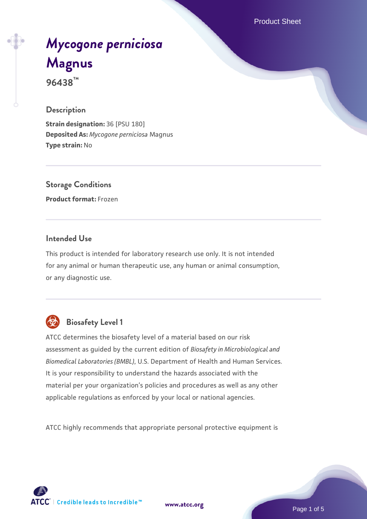Product Sheet

# *[Mycogone perniciosa](https://www.atcc.org/products/96438)* **[Magnus](https://www.atcc.org/products/96438)**

**96438™**

## **Description**

**Strain designation:** 36 [PSU 180] **Deposited As:** *Mycogone perniciosa* Magnus **Type strain:** No

## **Storage Conditions**

**Product format:** Frozen

## **Intended Use**

This product is intended for laboratory research use only. It is not intended for any animal or human therapeutic use, any human or animal consumption, or any diagnostic use.



# **Biosafety Level 1**

ATCC determines the biosafety level of a material based on our risk assessment as guided by the current edition of *Biosafety in Microbiological and Biomedical Laboratories (BMBL)*, U.S. Department of Health and Human Services. It is your responsibility to understand the hazards associated with the material per your organization's policies and procedures as well as any other applicable regulations as enforced by your local or national agencies.

ATCC highly recommends that appropriate personal protective equipment is

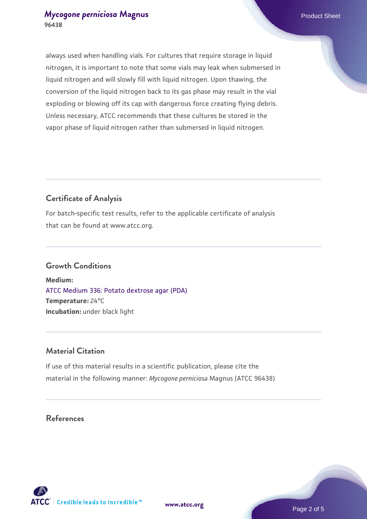always used when handling vials. For cultures that require storage in liquid nitrogen, it is important to note that some vials may leak when submersed in liquid nitrogen and will slowly fill with liquid nitrogen. Upon thawing, the conversion of the liquid nitrogen back to its gas phase may result in the vial exploding or blowing off its cap with dangerous force creating flying debris. Unless necessary, ATCC recommends that these cultures be stored in the vapor phase of liquid nitrogen rather than submersed in liquid nitrogen.

## **Certificate of Analysis**

For batch-specific test results, refer to the applicable certificate of analysis that can be found at www.atcc.org.

#### **Growth Conditions**

**Medium:**  [ATCC Medium 336: Potato dextrose agar \(PDA\)](https://www.atcc.org/-/media/product-assets/documents/microbial-media-formulations/3/3/6/atcc-medium-336.pdf?rev=d9160ad44d934cd8b65175461abbf3b9) **Temperature:** 24°C **Incubation:** under black light

## **Material Citation**

If use of this material results in a scientific publication, please cite the material in the following manner: *Mycogone perniciosa* Magnus (ATCC 96438)

## **References**

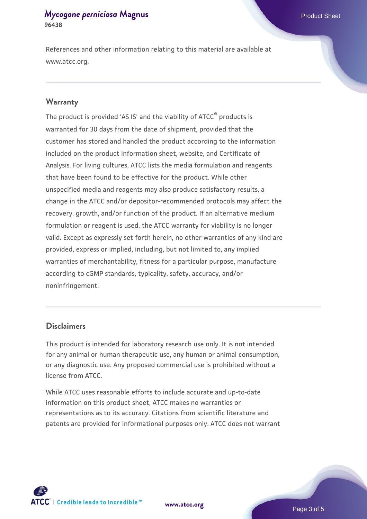## *[Mycogone perniciosa](https://www.atcc.org/products/96438)* [Magnus](https://www.atcc.org/products/96438)<br>
Product Sheet **96438**

References and other information relating to this material are available at www.atcc.org.

#### **Warranty**

The product is provided 'AS IS' and the viability of ATCC® products is warranted for 30 days from the date of shipment, provided that the customer has stored and handled the product according to the information included on the product information sheet, website, and Certificate of Analysis. For living cultures, ATCC lists the media formulation and reagents that have been found to be effective for the product. While other unspecified media and reagents may also produce satisfactory results, a change in the ATCC and/or depositor-recommended protocols may affect the recovery, growth, and/or function of the product. If an alternative medium formulation or reagent is used, the ATCC warranty for viability is no longer valid. Except as expressly set forth herein, no other warranties of any kind are provided, express or implied, including, but not limited to, any implied warranties of merchantability, fitness for a particular purpose, manufacture according to cGMP standards, typicality, safety, accuracy, and/or noninfringement.

#### **Disclaimers**

This product is intended for laboratory research use only. It is not intended for any animal or human therapeutic use, any human or animal consumption, or any diagnostic use. Any proposed commercial use is prohibited without a license from ATCC.

While ATCC uses reasonable efforts to include accurate and up-to-date information on this product sheet, ATCC makes no warranties or representations as to its accuracy. Citations from scientific literature and patents are provided for informational purposes only. ATCC does not warrant

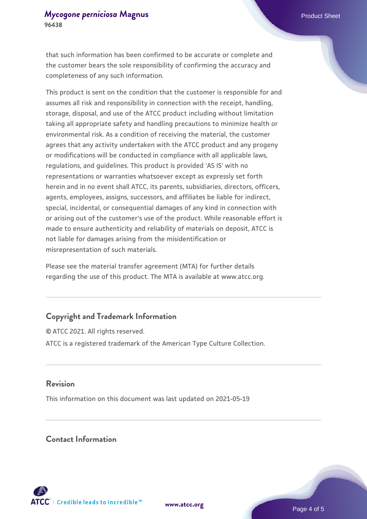that such information has been confirmed to be accurate or complete and the customer bears the sole responsibility of confirming the accuracy and completeness of any such information.

This product is sent on the condition that the customer is responsible for and assumes all risk and responsibility in connection with the receipt, handling, storage, disposal, and use of the ATCC product including without limitation taking all appropriate safety and handling precautions to minimize health or environmental risk. As a condition of receiving the material, the customer agrees that any activity undertaken with the ATCC product and any progeny or modifications will be conducted in compliance with all applicable laws, regulations, and guidelines. This product is provided 'AS IS' with no representations or warranties whatsoever except as expressly set forth herein and in no event shall ATCC, its parents, subsidiaries, directors, officers, agents, employees, assigns, successors, and affiliates be liable for indirect, special, incidental, or consequential damages of any kind in connection with or arising out of the customer's use of the product. While reasonable effort is made to ensure authenticity and reliability of materials on deposit, ATCC is not liable for damages arising from the misidentification or misrepresentation of such materials.

Please see the material transfer agreement (MTA) for further details regarding the use of this product. The MTA is available at www.atcc.org.

## **Copyright and Trademark Information**

© ATCC 2021. All rights reserved. ATCC is a registered trademark of the American Type Culture Collection.

## **Revision**

This information on this document was last updated on 2021-05-19

## **Contact Information**